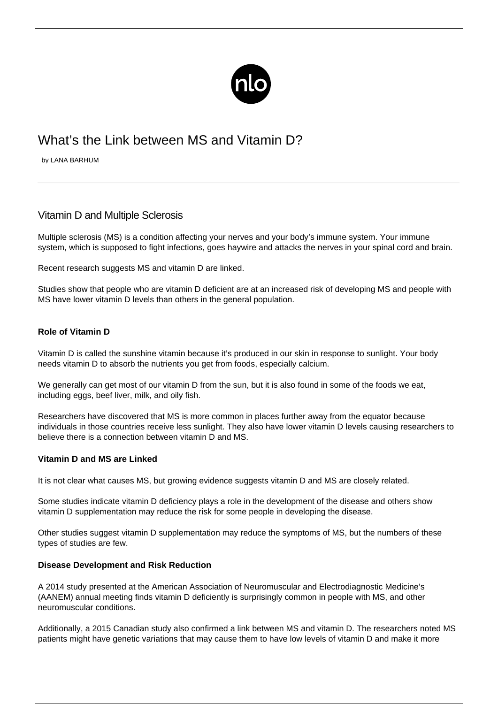

# What's the Link between MS and Vitamin D?

by LANA BARHUM

## Vitamin D and Multiple Sclerosis

Multiple sclerosis (MS) is a condition affecting your nerves and your body's immune system. Your immune system, which is supposed to fight infections, goes haywire and attacks the nerves in your spinal cord and brain.

Recent research suggests MS and vitamin D are linked.

Studies show that people who are vitamin D deficient are at an increased risk of developing MS and people with MS have lower vitamin D levels than others in the general population.

### **Role of Vitamin D**

Vitamin D is called the sunshine vitamin because it's produced in our skin in response to sunlight. [Your body](http://healthliving.today/healthy-living/why-vitamin-d-is-important/) [needs vitamin D](http://healthliving.today/healthy-living/why-vitamin-d-is-important/) to absorb the nutrients you get from foods, especially calcium.

We generally can get most of our vitamin D from the sun, but it is also found in some of the foods we eat, including eggs, beef liver, milk, and oily fish.

Researchers have discovered that MS is more common in places further away from the equator because individuals in those countries receive less sunlight. They also have lower vitamin D levels causing researchers to believe there is a connection between vitamin D and MS.

### **Vitamin D and MS are Linked**

It is not clear [what causes MS](/what-causes-ms/), but growing evidence suggests vitamin D and MS are closely related.

Some studies indicate vitamin D deficiency plays a role in the development of the disease and others show vitamin D supplementation may reduce the risk for some people in developing the disease.

Other studies suggest vitamin D supplementation may reduce the symptoms of MS, but the numbers of these types of studies are few.

### **Disease Development and Risk Reduction**

A 2014 study presented at the American Association of Neuromuscular and Electrodiagnostic Medicine's (AANEM) annual meeting finds vitamin D deficiently is surprisingly common in people with MS, and other neuromuscular conditions.

Additionally, a 2015 Canadian study also confirmed a link between MS and vitamin D. The researchers noted MS patients might have [genetic](/ms-hereditary/) variations that may cause them to have low levels of vitamin D and make it more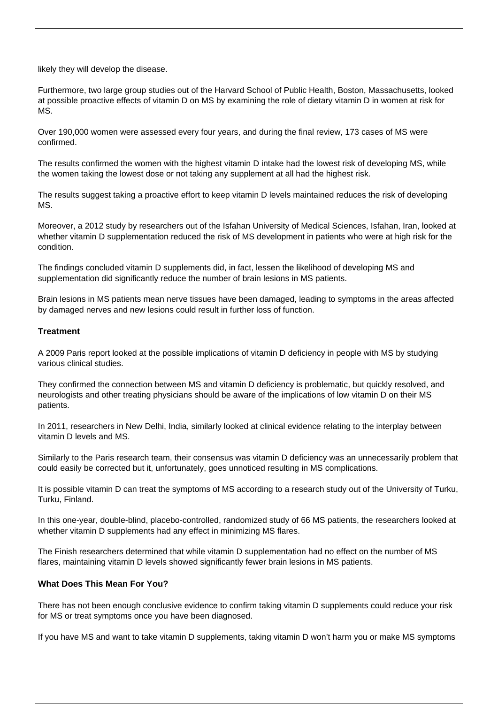likely they will develop the disease.

Furthermore, two large group studies out of the Harvard School of Public Health, Boston, Massachusetts, looked at possible proactive effects of vitamin D on MS by examining the role of dietary vitamin D in women at risk for MS.

Over 190,000 women were assessed every four years, and during the final review, 173 cases of MS were confirmed.

The results confirmed the women with the highest vitamin D intake had the lowest risk of developing MS, while the women taking the lowest dose or not taking any supplement at all had the highest risk.

The results suggest taking a proactive effort to keep vitamin D levels maintained reduces the risk of developing MS.

Moreover, a 2012 study by researchers out of the Isfahan University of Medical Sciences, Isfahan, Iran, looked at whether vitamin D supplementation reduced the risk of MS development in patients who were at high risk for the condition.

The findings concluded vitamin D supplements did, in fact, lessen the likelihood of developing MS and supplementation did significantly reduce the number of brain lesions in MS patients.

Brain lesions in MS patients mean nerve tissues have been damaged, leading to symptoms in the areas affected by damaged nerves and new lesions could result in further loss of function.

### **Treatment**

A 2009 Paris report looked at the possible implications of vitamin D deficiency in people with MS by studying various clinical studies.

They confirmed the connection between MS and vitamin D deficiency is problematic, but quickly resolved, and neurologists and other treating physicians should be aware of the implications of low vitamin D on their MS patients.

In 2011, researchers in New Delhi, India, similarly looked at clinical evidence relating to the interplay between vitamin D levels and MS.

Similarly to the Paris research team, their consensus was vitamin D deficiency was an unnecessarily problem that could easily be corrected but it, unfortunately, goes unnoticed resulting in MS complications.

It is possible vitamin D can treat the symptoms of MS according to a research study out of the University of Turku, Turku, Finland.

In this one-year, double-blind, placebo-controlled, randomized study of 66 MS patients, the researchers looked at whether vitamin D supplements had any effect in minimizing MS flares.

The Finish researchers determined that while vitamin D supplementation had no effect on the number of MS flares, maintaining vitamin D levels showed significantly fewer brain lesions in MS patients.

### **What Does This Mean For You?**

There has not been enough conclusive evidence to confirm taking vitamin D supplements could reduce your risk for MS or treat symptoms once you have been diagnosed.

If you have MS and want to take vitamin D supplements, taking vitamin D won't harm you or make MS symptoms